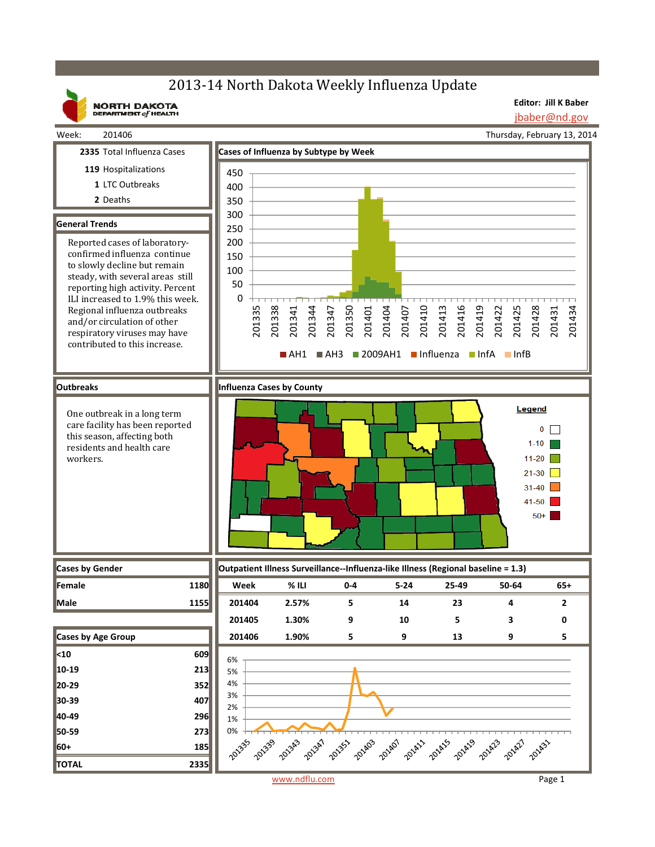# 2013-14 North Dakota Weekly Influenza Update

**NORTH DAKOTA**<br>DEPARTMENT of HEALTH

**Editor: Jill K Baber** jbaber@nd.gov

Thursday, February 13, 2014